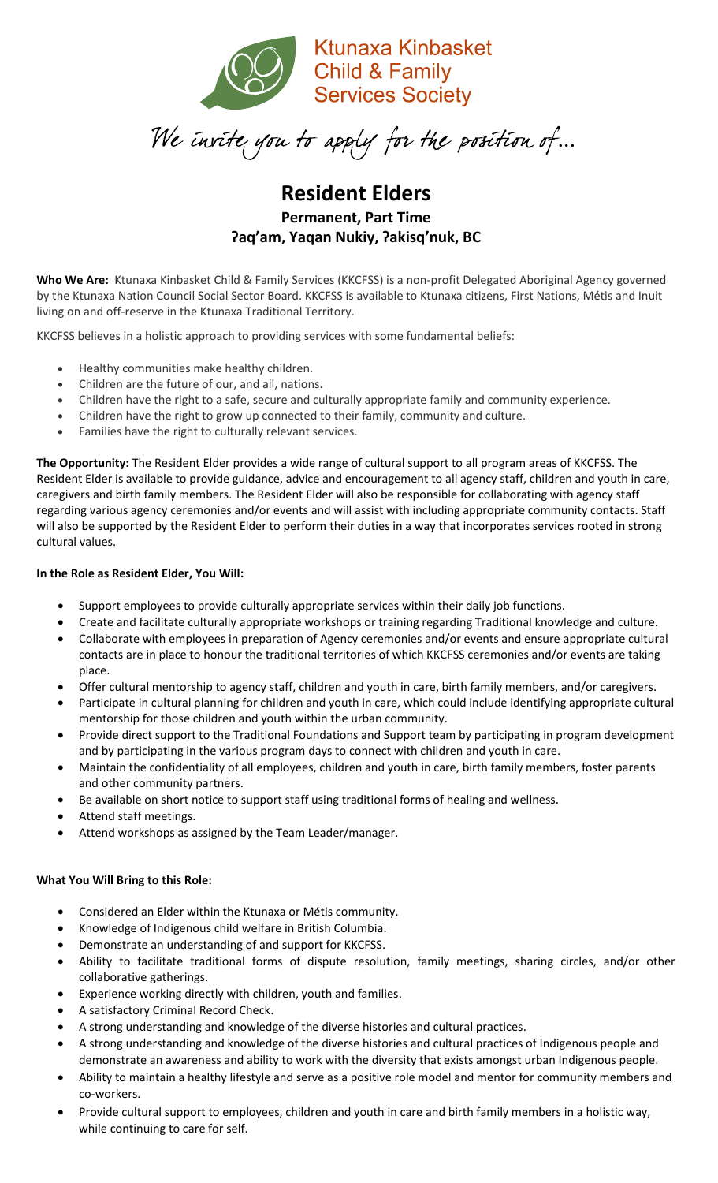

 $\overline{a}$  $\mathbf{r}$ 

# **Resident Elders Permanent, Part Time ʔaq'am, Yaqan Nukiy, ʔakisq'nuk, BC**

**Who We Are:** Ktunaxa Kinbasket Child & Family Services (KKCFSS) is a non-profit Delegated Aboriginal Agency governed by the Ktunaxa Nation Council Social Sector Board. KKCFSS is available to Ktunaxa citizens, First Nations, Métis and Inuit living on and off-reserve in the Ktunaxa Traditional Territory.

KKCFSS believes in a holistic approach to providing services with some fundamental beliefs:

- Healthy communities make healthy children.
- Children are the future of our, and all, nations.
- Children have the right to a safe, secure and culturally appropriate family and community experience.
- Children have the right to grow up connected to their family, community and culture.
- Families have the right to culturally relevant services.

**The Opportunity:** The Resident Elder provides a wide range of cultural support to all program areas of KKCFSS. The Resident Elder is available to provide guidance, advice and encouragement to all agency staff, children and youth in care, caregivers and birth family members. The Resident Elder will also be responsible for collaborating with agency staff regarding various agency ceremonies and/or events and will assist with including appropriate community contacts. Staff will also be supported by the Resident Elder to perform their duties in a way that incorporates services rooted in strong cultural values.

### **In the Role as Resident Elder, You Will:**

- Support employees to provide culturally appropriate services within their daily job functions.
- Create and facilitate culturally appropriate workshops or training regarding Traditional knowledge and culture.
- Collaborate with employees in preparation of Agency ceremonies and/or events and ensure appropriate cultural contacts are in place to honour the traditional territories of which KKCFSS ceremonies and/or events are taking place.
- Offer cultural mentorship to agency staff, children and youth in care, birth family members, and/or caregivers.
- Participate in cultural planning for children and youth in care, which could include identifying appropriate cultural mentorship for those children and youth within the urban community.
- Provide direct support to the Traditional Foundations and Support team by participating in program development and by participating in the various program days to connect with children and youth in care.
- Maintain the confidentiality of all employees, children and youth in care, birth family members, foster parents and other community partners.
- Be available on short notice to support staff using traditional forms of healing and wellness.
- Attend staff meetings.
- Attend workshops as assigned by the Team Leader/manager.

### **What You Will Bring to this Role:**

- Considered an Elder within the Ktunaxa or Métis community.
- Knowledge of Indigenous child welfare in British Columbia.
- Demonstrate an understanding of and support for KKCFSS.
- Ability to facilitate traditional forms of dispute resolution, family meetings, sharing circles, and/or other collaborative gatherings.
- Experience working directly with children, youth and families.
- A satisfactory Criminal Record Check.
- A strong understanding and knowledge of the diverse histories and cultural practices.
- A strong understanding and knowledge of the diverse histories and cultural practices of Indigenous people and demonstrate an awareness and ability to work with the diversity that exists amongst urban Indigenous people.
- Ability to maintain a healthy lifestyle and serve as a positive role model and mentor for community members and co-workers.
- Provide cultural support to employees, children and youth in care and birth family members in a holistic way, while continuing to care for self.